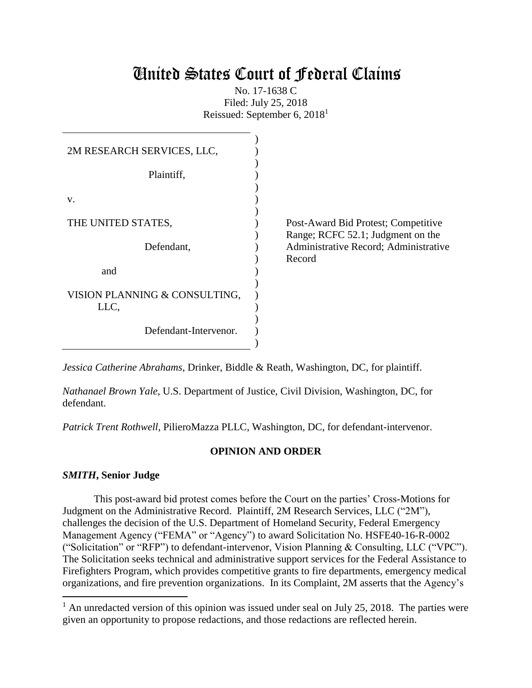# United States Court of Federal Claims

No. 17-1638 C Filed: July 25, 2018 Reissued: September 6, 2018<sup>1</sup>

| 2M RESEARCH SERVICES, LLC,            |                                                                          |
|---------------------------------------|--------------------------------------------------------------------------|
| Plaintiff,                            |                                                                          |
| V.                                    |                                                                          |
| THE UNITED STATES,                    | Post-Award Bid Protest; Competitive<br>Range; RCFC 52.1; Judgment on the |
| Defendant,                            | Administrative Record; Administrative<br>Record                          |
| and                                   |                                                                          |
| VISION PLANNING & CONSULTING,<br>LLC, |                                                                          |
| Defendant-Intervenor.                 |                                                                          |

*Jessica Catherine Abrahams*, Drinker, Biddle & Reath, Washington, DC, for plaintiff.

*Nathanael Brown Yale*, U.S. Department of Justice, Civil Division, Washington, DC, for defendant.

*Patrick Trent Rothwell*, PilieroMazza PLLC, Washington, DC, for defendant-intervenor.

# **OPINION AND ORDER**

# *SMITH***, Senior Judge**

 $\overline{\phantom{a}}$ 

This post-award bid protest comes before the Court on the parties' Cross-Motions for Judgment on the Administrative Record. Plaintiff, 2M Research Services, LLC ("2M"), challenges the decision of the U.S. Department of Homeland Security, Federal Emergency Management Agency ("FEMA" or "Agency") to award Solicitation No. HSFE40-16-R-0002 ("Solicitation" or "RFP") to defendant-intervenor, Vision Planning & Consulting, LLC ("VPC"). The Solicitation seeks technical and administrative support services for the Federal Assistance to Firefighters Program, which provides competitive grants to fire departments, emergency medical organizations, and fire prevention organizations. In its Complaint, 2M asserts that the Agency's

 $<sup>1</sup>$  An unredacted version of this opinion was issued under seal on July 25, 2018. The parties were</sup> given an opportunity to propose redactions, and those redactions are reflected herein.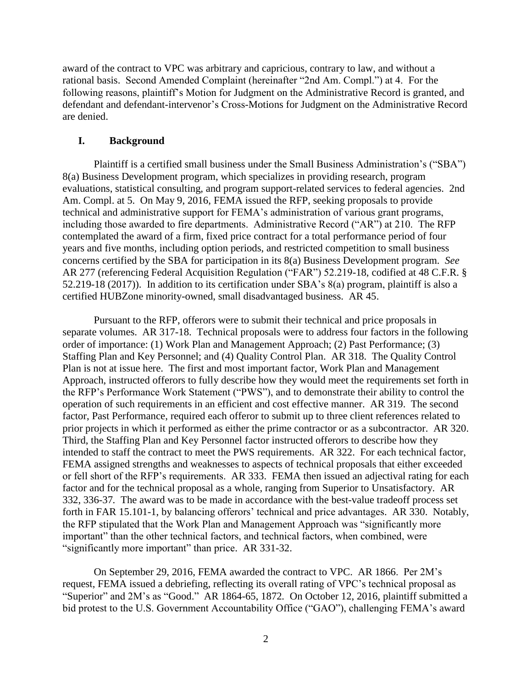award of the contract to VPC was arbitrary and capricious, contrary to law, and without a rational basis. Second Amended Complaint (hereinafter "2nd Am. Compl.") at 4. For the following reasons, plaintiff's Motion for Judgment on the Administrative Record is granted, and defendant and defendant-intervenor's Cross-Motions for Judgment on the Administrative Record are denied.

#### **I. Background**

Plaintiff is a certified small business under the Small Business Administration's ("SBA") 8(a) Business Development program, which specializes in providing research, program evaluations, statistical consulting, and program support-related services to federal agencies. 2nd Am. Compl. at 5. On May 9, 2016, FEMA issued the RFP, seeking proposals to provide technical and administrative support for FEMA's administration of various grant programs, including those awarded to fire departments. Administrative Record ("AR") at 210. The RFP contemplated the award of a firm, fixed price contract for a total performance period of four years and five months, including option periods, and restricted competition to small business concerns certified by the SBA for participation in its 8(a) Business Development program. *See*  AR 277 (referencing Federal Acquisition Regulation ("FAR") 52.219-18, codified at 48 C.F.R. § 52.219-18 (2017)). In addition to its certification under SBA's 8(a) program, plaintiff is also a certified HUBZone minority-owned, small disadvantaged business. AR 45.

Pursuant to the RFP, offerors were to submit their technical and price proposals in separate volumes. AR 317-18. Technical proposals were to address four factors in the following order of importance: (1) Work Plan and Management Approach; (2) Past Performance; (3) Staffing Plan and Key Personnel; and (4) Quality Control Plan. AR 318. The Quality Control Plan is not at issue here. The first and most important factor, Work Plan and Management Approach, instructed offerors to fully describe how they would meet the requirements set forth in the RFP's Performance Work Statement ("PWS"), and to demonstrate their ability to control the operation of such requirements in an efficient and cost effective manner. AR 319. The second factor, Past Performance, required each offeror to submit up to three client references related to prior projects in which it performed as either the prime contractor or as a subcontractor. AR 320. Third, the Staffing Plan and Key Personnel factor instructed offerors to describe how they intended to staff the contract to meet the PWS requirements. AR 322. For each technical factor, FEMA assigned strengths and weaknesses to aspects of technical proposals that either exceeded or fell short of the RFP's requirements. AR 333. FEMA then issued an adjectival rating for each factor and for the technical proposal as a whole, ranging from Superior to Unsatisfactory. AR 332, 336-37*.* The award was to be made in accordance with the best-value tradeoff process set forth in FAR 15.101-1, by balancing offerors' technical and price advantages. AR 330. Notably, the RFP stipulated that the Work Plan and Management Approach was "significantly more important" than the other technical factors, and technical factors, when combined, were "significantly more important" than price. AR 331-32.

On September 29, 2016, FEMA awarded the contract to VPC. AR 1866. Per 2M's request, FEMA issued a debriefing, reflecting its overall rating of VPC's technical proposal as "Superior" and 2M's as "Good." AR 1864-65, 1872*.* On October 12, 2016, plaintiff submitted a bid protest to the U.S. Government Accountability Office ("GAO"), challenging FEMA's award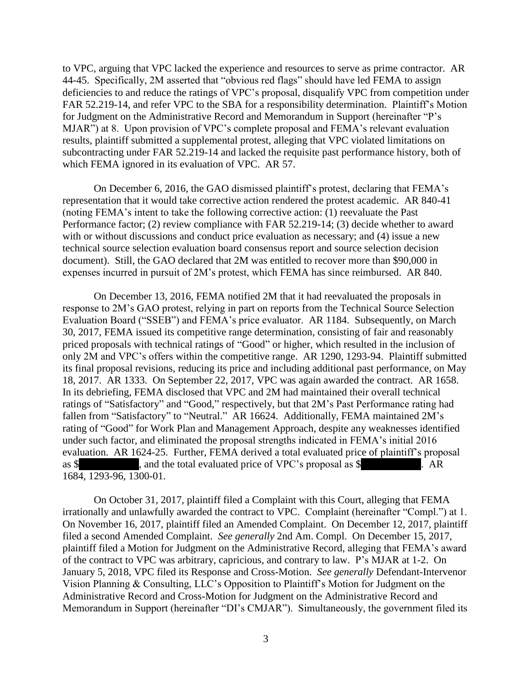to VPC, arguing that VPC lacked the experience and resources to serve as prime contractor. AR 44-45. Specifically, 2M asserted that "obvious red flags" should have led FEMA to assign deficiencies to and reduce the ratings of VPC's proposal, disqualify VPC from competition under FAR 52.219-14, and refer VPC to the SBA for a responsibility determination. Plaintiff's Motion for Judgment on the Administrative Record and Memorandum in Support (hereinafter "P's MJAR") at 8. Upon provision of VPC's complete proposal and FEMA's relevant evaluation results, plaintiff submitted a supplemental protest, alleging that VPC violated limitations on subcontracting under FAR 52.219-14 and lacked the requisite past performance history, both of which FEMA ignored in its evaluation of VPC. AR 57.

On December 6, 2016, the GAO dismissed plaintiff's protest, declaring that FEMA's representation that it would take corrective action rendered the protest academic. AR 840-41 (noting FEMA's intent to take the following corrective action: (1) reevaluate the Past Performance factor; (2) review compliance with FAR 52.219-14; (3) decide whether to award with or without discussions and conduct price evaluation as necessary; and (4) issue a new technical source selection evaluation board consensus report and source selection decision document). Still, the GAO declared that 2M was entitled to recover more than \$90,000 in expenses incurred in pursuit of 2M's protest, which FEMA has since reimbursed. AR 840.

On December 13, 2016, FEMA notified 2M that it had reevaluated the proposals in response to 2M's GAO protest, relying in part on reports from the Technical Source Selection Evaluation Board ("SSEB") and FEMA's price evaluator. AR 1184. Subsequently, on March 30, 2017, FEMA issued its competitive range determination, consisting of fair and reasonably priced proposals with technical ratings of "Good" or higher, which resulted in the inclusion of only 2M and VPC's offers within the competitive range. AR 1290, 1293-94. Plaintiff submitted its final proposal revisions, reducing its price and including additional past performance, on May 18, 2017. AR 1333. On September 22, 2017, VPC was again awarded the contract. AR 1658. In its debriefing, FEMA disclosed that VPC and 2M had maintained their overall technical ratings of "Satisfactory" and "Good," respectively, but that 2M's Past Performance rating had fallen from "Satisfactory" to "Neutral." AR 16624. Additionally, FEMA maintained 2M's rating of "Good" for Work Plan and Management Approach, despite any weaknesses identified under such factor, and eliminated the proposal strengths indicated in FEMA's initial 2016 evaluation. AR 1624-25. Further, FEMA derived a total evaluated price of plaintiff's proposal as \$ , and the total evaluated price of VPC's proposal as \$ . AR 1684, 1293-96, 1300-01.

On October 31, 2017, plaintiff filed a Complaint with this Court, alleging that FEMA irrationally and unlawfully awarded the contract to VPC. Complaint (hereinafter "Compl.") at 1. On November 16, 2017, plaintiff filed an Amended Complaint. On December 12, 2017, plaintiff filed a second Amended Complaint. *See generally* 2nd Am. Compl. On December 15, 2017, plaintiff filed a Motion for Judgment on the Administrative Record, alleging that FEMA's award of the contract to VPC was arbitrary, capricious, and contrary to law. P's MJAR at 1-2. On January 5, 2018, VPC filed its Response and Cross-Motion. *See generally* Defendant-Intervenor Vision Planning & Consulting, LLC's Opposition to Plaintiff's Motion for Judgment on the Administrative Record and Cross-Motion for Judgment on the Administrative Record and Memorandum in Support (hereinafter "DI's CMJAR"). Simultaneously, the government filed its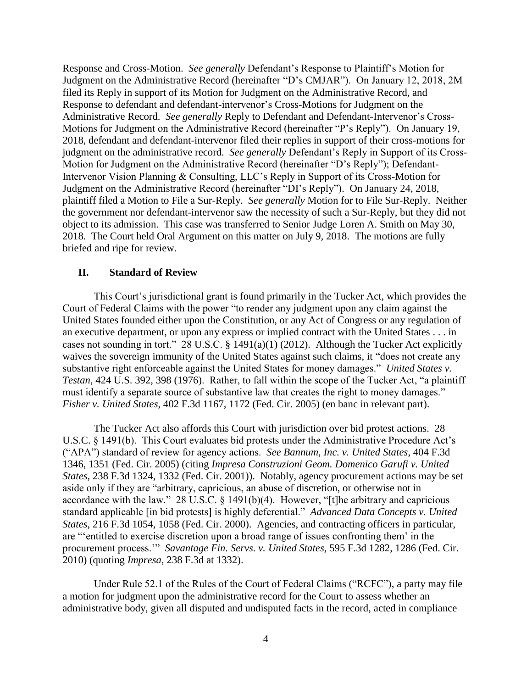Response and Cross-Motion. *See generally* Defendant's Response to Plaintiff's Motion for Judgment on the Administrative Record (hereinafter "D's CMJAR"). On January 12, 2018, 2M filed its Reply in support of its Motion for Judgment on the Administrative Record, and Response to defendant and defendant-intervenor's Cross-Motions for Judgment on the Administrative Record. *See generally* Reply to Defendant and Defendant-Intervenor's Cross-Motions for Judgment on the Administrative Record (hereinafter "P's Reply"). On January 19, 2018, defendant and defendant-intervenor filed their replies in support of their cross-motions for judgment on the administrative record. *See generally* Defendant's Reply in Support of its Cross-Motion for Judgment on the Administrative Record (hereinafter "D's Reply"); Defendant-Intervenor Vision Planning & Consulting, LLC's Reply in Support of its Cross-Motion for Judgment on the Administrative Record (hereinafter "DI's Reply"). On January 24, 2018, plaintiff filed a Motion to File a Sur-Reply. *See generally* Motion for to File Sur-Reply. Neither the government nor defendant-intervenor saw the necessity of such a Sur-Reply, but they did not object to its admission. This case was transferred to Senior Judge Loren A. Smith on May 30, 2018. The Court held Oral Argument on this matter on July 9, 2018. The motions are fully briefed and ripe for review.

### **II. Standard of Review**

This Court's jurisdictional grant is found primarily in the Tucker Act, which provides the Court of Federal Claims with the power "to render any judgment upon any claim against the United States founded either upon the Constitution, or any Act of Congress or any regulation of an executive department, or upon any express or implied contract with the United States . . . in cases not sounding in tort." 28 U.S.C. § 1491(a)(1) (2012). Although the Tucker Act explicitly waives the sovereign immunity of the United States against such claims, it "does not create any substantive right enforceable against the United States for money damages." *United States v. Testan*, 424 U.S. 392, 398 (1976). Rather, to fall within the scope of the Tucker Act, "a plaintiff must identify a separate source of substantive law that creates the right to money damages." *Fisher v. United States*, 402 F.3d 1167, 1172 (Fed. Cir. 2005) (en banc in relevant part).

The Tucker Act also affords this Court with jurisdiction over bid protest actions. 28 U.S.C. § 1491(b). This Court evaluates bid protests under the Administrative Procedure Act's ("APA") standard of review for agency actions. *See Bannum, Inc. v. United States*, 404 F.3d 1346, 1351 (Fed. Cir. 2005) (citing *Impresa Construzioni Geom. Domenico Garufi v. United States*, 238 F.3d 1324, 1332 (Fed. Cir. 2001)). Notably, agency procurement actions may be set aside only if they are "arbitrary, capricious, an abuse of discretion, or otherwise not in accordance with the law." 28 U.S.C.  $\S$  1491(b)(4). However, "[t]he arbitrary and capricious standard applicable [in bid protests] is highly deferential." *Advanced Data Concepts v. United States*, 216 F.3d 1054, 1058 (Fed. Cir. 2000). Agencies, and contracting officers in particular, are "'entitled to exercise discretion upon a broad range of issues confronting them' in the procurement process.'" *Savantage Fin. Servs. v. United States*, 595 F.3d 1282, 1286 (Fed. Cir. 2010) (quoting *Impresa*, 238 F.3d at 1332).

Under Rule 52.1 of the Rules of the Court of Federal Claims ("RCFC"), a party may file a motion for judgment upon the administrative record for the Court to assess whether an administrative body, given all disputed and undisputed facts in the record, acted in compliance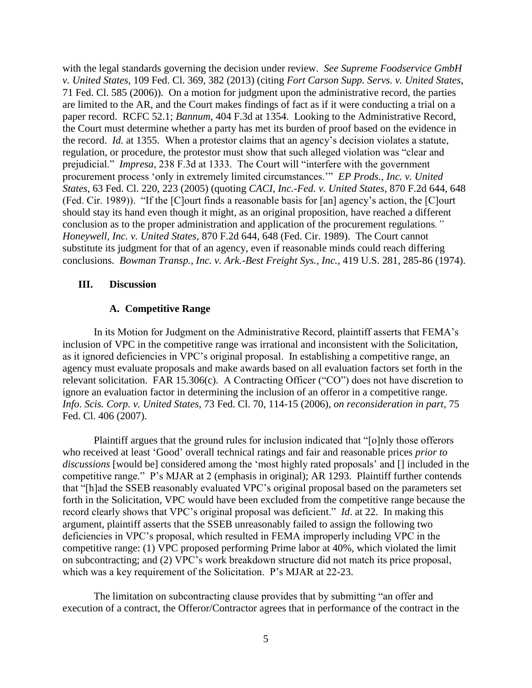with the legal standards governing the decision under review. *See Supreme Foodservice GmbH v. United States*, 109 Fed. Cl. 369, 382 (2013) (citing *Fort Carson Supp. Servs. v. United States*, 71 Fed. Cl. 585 (2006)). On a motion for judgment upon the administrative record, the parties are limited to the AR, and the Court makes findings of fact as if it were conducting a trial on a paper record. RCFC 52.1; *Bannum*, 404 F.3d at 1354. Looking to the Administrative Record, the Court must determine whether a party has met its burden of proof based on the evidence in the record. *Id.* at 1355. When a protestor claims that an agency's decision violates a statute, regulation, or procedure, the protestor must show that such alleged violation was "clear and prejudicial." *Impresa*, 238 F.3d at 1333. The Court will "interfere with the government procurement process 'only in extremely limited circumstances.'" *EP Prods., Inc. v. United States*, 63 Fed. Cl. 220, 223 (2005) (quoting *CACI, Inc.-Fed. v. United States*, 870 F.2d 644, 648 (Fed. Cir. 1989)). "If the [C]ourt finds a reasonable basis for [an] agency's action, the [C]ourt should stay its hand even though it might, as an original proposition, have reached a different conclusion as to the proper administration and application of the procurement regulations*." Honeywell, Inc. v. United States*, 870 F.2d 644, 648 (Fed. Cir. 1989). The Court cannot substitute its judgment for that of an agency, even if reasonable minds could reach differing conclusions. *Bowman Transp., Inc. v. Ark.-Best Freight Sys., Inc.*, 419 U.S. 281, 285-86 (1974).

## **III. Discussion**

## **A. Competitive Range**

In its Motion for Judgment on the Administrative Record, plaintiff asserts that FEMA's inclusion of VPC in the competitive range was irrational and inconsistent with the Solicitation, as it ignored deficiencies in VPC's original proposal. In establishing a competitive range, an agency must evaluate proposals and make awards based on all evaluation factors set forth in the relevant solicitation. FAR 15.306(c). A Contracting Officer ("CO") does not have discretion to ignore an evaluation factor in determining the inclusion of an offeror in a competitive range. *Info. Scis. Corp. v. United States*, 73 Fed. Cl. 70, 114-15 (2006), *on reconsideration in part*, 75 Fed. Cl. 406 (2007).

Plaintiff argues that the ground rules for inclusion indicated that "[o]nly those offerors who received at least 'Good' overall technical ratings and fair and reasonable prices *prior to discussions* [would be] considered among the 'most highly rated proposals' and [] included in the competitive range." P's MJAR at 2 (emphasis in original); AR 1293. Plaintiff further contends that "[h]ad the SSEB reasonably evaluated VPC's original proposal based on the parameters set forth in the Solicitation, VPC would have been excluded from the competitive range because the record clearly shows that VPC's original proposal was deficient." *Id*. at 22. In making this argument, plaintiff asserts that the SSEB unreasonably failed to assign the following two deficiencies in VPC's proposal, which resulted in FEMA improperly including VPC in the competitive range: (1) VPC proposed performing Prime labor at 40%, which violated the limit on subcontracting; and (2) VPC's work breakdown structure did not match its price proposal, which was a key requirement of the Solicitation. P's MJAR at 22-23.

The limitation on subcontracting clause provides that by submitting "an offer and execution of a contract, the Offeror/Contractor agrees that in performance of the contract in the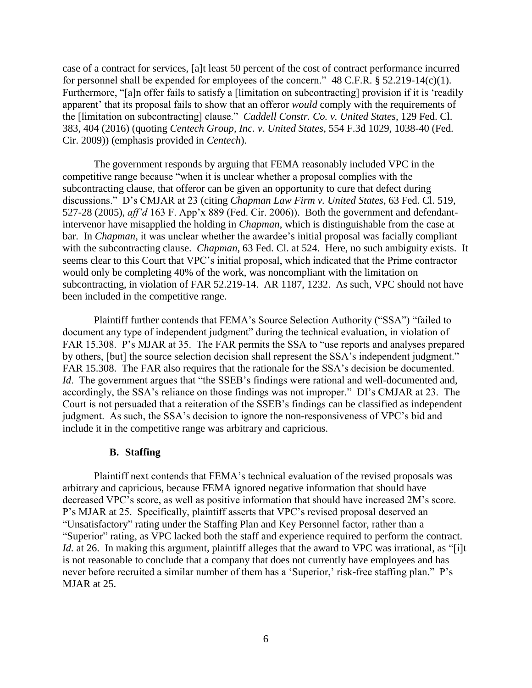case of a contract for services, [a]t least 50 percent of the cost of contract performance incurred for personnel shall be expended for employees of the concern."  $48$  C.F.R. § 52.219-14(c)(1). Furthermore, "[a]n offer fails to satisfy a [limitation on subcontracting] provision if it is 'readily apparent' that its proposal fails to show that an offeror *would* comply with the requirements of the [limitation on subcontracting] clause." *Caddell Constr. Co. v. United States*, 129 Fed. Cl. 383, 404 (2016) (quoting *Centech Group, Inc. v. United States*, 554 F.3d 1029, 1038-40 (Fed. Cir. 2009)) (emphasis provided in *Centech*).

The government responds by arguing that FEMA reasonably included VPC in the competitive range because "when it is unclear whether a proposal complies with the subcontracting clause, that offeror can be given an opportunity to cure that defect during discussions." D's CMJAR at 23 (citing *Chapman Law Firm v. United States*, 63 Fed. Cl. 519, 527-28 (2005), *aff'd* 163 F. App'x 889 (Fed. Cir. 2006)). Both the government and defendantintervenor have misapplied the holding in *Chapman*, which is distinguishable from the case at bar. In *Chapman*, it was unclear whether the awardee's initial proposal was facially compliant with the subcontracting clause. *Chapman*, 63 Fed. Cl. at 524. Here, no such ambiguity exists. It seems clear to this Court that VPC's initial proposal, which indicated that the Prime contractor would only be completing 40% of the work, was noncompliant with the limitation on subcontracting, in violation of FAR 52.219-14. AR 1187, 1232. As such, VPC should not have been included in the competitive range.

Plaintiff further contends that FEMA's Source Selection Authority ("SSA") "failed to document any type of independent judgment" during the technical evaluation, in violation of FAR 15.308. P's MJAR at 35. The FAR permits the SSA to "use reports and analyses prepared by others, [but] the source selection decision shall represent the SSA's independent judgment." FAR 15.308. The FAR also requires that the rationale for the SSA's decision be documented. *Id.* The government argues that "the SSEB's findings were rational and well-documented and, accordingly, the SSA's reliance on those findings was not improper." DI's CMJAR at 23. The Court is not persuaded that a reiteration of the SSEB's findings can be classified as independent judgment. As such, the SSA's decision to ignore the non-responsiveness of VPC's bid and include it in the competitive range was arbitrary and capricious.

#### **B. Staffing**

Plaintiff next contends that FEMA's technical evaluation of the revised proposals was arbitrary and capricious, because FEMA ignored negative information that should have decreased VPC's score, as well as positive information that should have increased 2M's score. P's MJAR at 25. Specifically, plaintiff asserts that VPC's revised proposal deserved an "Unsatisfactory" rating under the Staffing Plan and Key Personnel factor, rather than a "Superior" rating, as VPC lacked both the staff and experience required to perform the contract. *Id.* at 26. In making this argument, plaintiff alleges that the award to VPC was irrational, as "[i]t is not reasonable to conclude that a company that does not currently have employees and has never before recruited a similar number of them has a 'Superior,' risk-free staffing plan." P's MJAR at 25.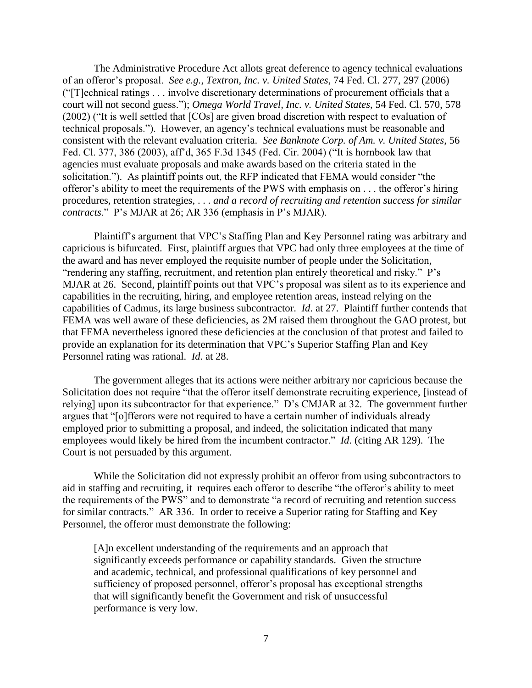The Administrative Procedure Act allots great deference to agency technical evaluations of an offeror's proposal. *See e.g.*, *Textron, Inc. v. United States*, 74 Fed. Cl. 277, 297 (2006) ("[T]echnical ratings . . . involve discretionary determinations of procurement officials that a court will not second guess."); *Omega World Travel, Inc. v. United States*, 54 Fed. Cl. 570, 578 (2002) ("It is well settled that [COs] are given broad discretion with respect to evaluation of technical proposals."). However, an agency's technical evaluations must be reasonable and consistent with the relevant evaluation criteria. *See Banknote Corp. of Am. v. United States*, 56 Fed. Cl. 377, 386 (2003), aff'd, 365 F.3d 1345 (Fed. Cir. 2004) ("It is hornbook law that agencies must evaluate proposals and make awards based on the criteria stated in the solicitation."). As plaintiff points out, the RFP indicated that FEMA would consider "the offeror's ability to meet the requirements of the PWS with emphasis on . . . the offeror's hiring procedures, retention strategies, . . . *and a record of recruiting and retention success for similar contracts*." P's MJAR at 26; AR 336 (emphasis in P's MJAR).

Plaintiff's argument that VPC's Staffing Plan and Key Personnel rating was arbitrary and capricious is bifurcated. First, plaintiff argues that VPC had only three employees at the time of the award and has never employed the requisite number of people under the Solicitation, "rendering any staffing, recruitment, and retention plan entirely theoretical and risky." P's MJAR at 26. Second, plaintiff points out that VPC's proposal was silent as to its experience and capabilities in the recruiting, hiring, and employee retention areas, instead relying on the capabilities of Cadmus, its large business subcontractor. *Id*. at 27. Plaintiff further contends that FEMA was well aware of these deficiencies, as 2M raised them throughout the GAO protest, but that FEMA nevertheless ignored these deficiencies at the conclusion of that protest and failed to provide an explanation for its determination that VPC's Superior Staffing Plan and Key Personnel rating was rational. *Id*. at 28.

The government alleges that its actions were neither arbitrary nor capricious because the Solicitation does not require "that the offeror itself demonstrate recruiting experience, [instead of relying] upon its subcontractor for that experience." D's CMJAR at 32. The government further argues that "[o]fferors were not required to have a certain number of individuals already employed prior to submitting a proposal, and indeed, the solicitation indicated that many employees would likely be hired from the incumbent contractor." *Id*. (citing AR 129). The Court is not persuaded by this argument.

While the Solicitation did not expressly prohibit an offeror from using subcontractors to aid in staffing and recruiting, it requires each offeror to describe "the offeror's ability to meet the requirements of the PWS" and to demonstrate "a record of recruiting and retention success for similar contracts." AR 336. In order to receive a Superior rating for Staffing and Key Personnel, the offeror must demonstrate the following:

[A]n excellent understanding of the requirements and an approach that significantly exceeds performance or capability standards. Given the structure and academic, technical, and professional qualifications of key personnel and sufficiency of proposed personnel, offeror's proposal has exceptional strengths that will significantly benefit the Government and risk of unsuccessful performance is very low.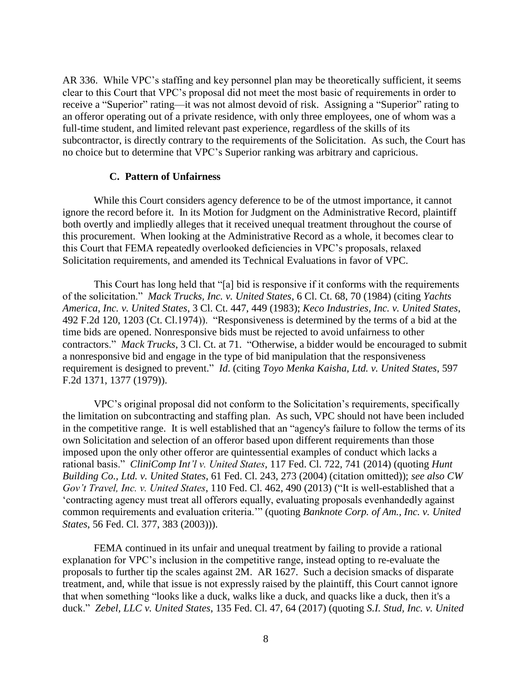AR 336. While VPC's staffing and key personnel plan may be theoretically sufficient, it seems clear to this Court that VPC's proposal did not meet the most basic of requirements in order to receive a "Superior" rating—it was not almost devoid of risk. Assigning a "Superior" rating to an offeror operating out of a private residence, with only three employees, one of whom was a full-time student, and limited relevant past experience, regardless of the skills of its subcontractor, is directly contrary to the requirements of the Solicitation. As such, the Court has no choice but to determine that VPC's Superior ranking was arbitrary and capricious.

#### **C. Pattern of Unfairness**

While this Court considers agency deference to be of the utmost importance, it cannot ignore the record before it. In its Motion for Judgment on the Administrative Record, plaintiff both overtly and impliedly alleges that it received unequal treatment throughout the course of this procurement. When looking at the Administrative Record as a whole, it becomes clear to this Court that FEMA repeatedly overlooked deficiencies in VPC's proposals, relaxed Solicitation requirements, and amended its Technical Evaluations in favor of VPC.

This Court has long held that "[a] bid is responsive if it conforms with the requirements of the solicitation." *Mack Trucks, Inc. v. United States*, 6 Cl. Ct. 68, 70 (1984) (citing *Yachts America, Inc. v. United States*, 3 Cl. Ct. 447, 449 (1983); *Keco Industries, Inc. v. United States*, 492 F.2d 120, 1203 (Ct. Cl.1974)). "Responsiveness is determined by the terms of a bid at the time bids are opened. Nonresponsive bids must be rejected to avoid unfairness to other contractors." *Mack Trucks*, 3 Cl. Ct. at 71. "Otherwise, a bidder would be encouraged to submit a nonresponsive bid and engage in the type of bid manipulation that the responsiveness requirement is designed to prevent." *Id*. (citing *Toyo Menka Kaisha, Ltd. v. United States*, 597 F.2d 1371, 1377 (1979)).

VPC's original proposal did not conform to the Solicitation's requirements, specifically the limitation on subcontracting and staffing plan. As such, VPC should not have been included in the competitive range. It is well established that an "agency's failure to follow the terms of its own Solicitation and selection of an offeror based upon different requirements than those imposed upon the only other offeror are quintessential examples of conduct which lacks a rational basis." *CliniComp Int'l v. United States*, 117 Fed. Cl. 722, 741 (2014) (quoting *Hunt Building Co., Ltd. v. United States*, 61 Fed. Cl. 243, 273 (2004) (citation omitted)); *see also CW Gov't Travel, Inc. v. United States*, 110 Fed. Cl. 462, 490 (2013) ("It is well-established that a 'contracting agency must treat all offerors equally, evaluating proposals evenhandedly against common requirements and evaluation criteria.'" (quoting *Banknote Corp. of Am., Inc. v. United States*, 56 Fed. Cl. 377, 383 (2003))).

FEMA continued in its unfair and unequal treatment by failing to provide a rational explanation for VPC's inclusion in the competitive range, instead opting to re-evaluate the proposals to further tip the scales against 2M. AR 1627. Such a decision smacks of disparate treatment, and, while that issue is not expressly raised by the plaintiff, this Court cannot ignore that when something "looks like a duck, walks like a duck, and quacks like a duck, then it's a duck." *Zebel, LLC v. United States*, 135 Fed. Cl. 47, 64 (2017) (quoting *S.I. Stud, Inc. v. United*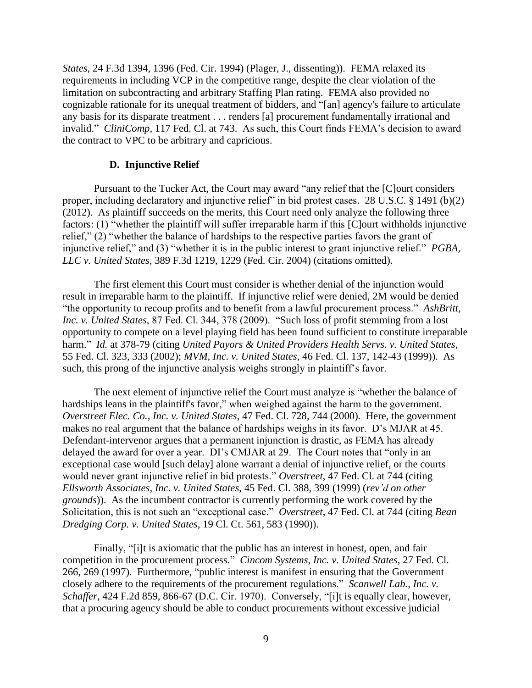*States*, 24 F.3d 1394, 1396 (Fed. Cir. 1994) (Plager, J., dissenting)). FEMA relaxed its requirements in including VCP in the competitive range, despite the clear violation of the limitation on subcontracting and arbitrary Staffing Plan rating. FEMA also provided no cognizable rationale for its unequal treatment of bidders, and "[an] agency's failure to articulate any basis for its disparate treatment . . . renders [a] procurement fundamentally irrational and invalid." *CliniComp*, 117 Fed. Cl. at 743. As such, this Court finds FEMA's decision to award the contract to VPC to be arbitrary and capricious.

#### **D. Injunctive Relief**

Pursuant to the Tucker Act, the Court may award "any relief that the [C]ourt considers proper, including declaratory and injunctive relief" in bid protest cases. 28 U.S.C. § 1491 (b)(2) (2012). As plaintiff succeeds on the merits, this Court need only analyze the following three factors: (1) "whether the plaintiff will suffer irreparable harm if this [C]ourt withholds injunctive relief," (2) "whether the balance of hardships to the respective parties favors the grant of injunctive relief," and (3) "whether it is in the public interest to grant injunctive relief." *PGBA, LLC v. United States*, 389 F.3d 1219, 1229 (Fed. Cir. 2004) (citations omitted).

The first element this Court must consider is whether denial of the injunction would result in irreparable harm to the plaintiff. If injunctive relief were denied, 2M would be denied "the opportunity to recoup profits and to benefit from a lawful procurement process." *AshBritt, Inc. v. United States*, 87 Fed. Cl. 344, 378 (2009). "Such loss of profit stemming from a lost opportunity to compete on a level playing field has been found sufficient to constitute irreparable harm." *Id.* at 378-79 (citing *United Payors & United Providers Health Servs. v. United States*, 55 Fed. Cl. 323, 333 (2002); *MVM, Inc. v. United States*, 46 Fed. Cl. 137, 142-43 (1999)). As such, this prong of the injunctive analysis weighs strongly in plaintiff's favor.

The next element of injunctive relief the Court must analyze is "whether the balance of hardships leans in the plaintiff's favor," when weighed against the harm to the government. *Overstreet Elec. Co., Inc. v. United States*, 47 Fed. Cl. 728, 744 (2000). Here, the government makes no real argument that the balance of hardships weighs in its favor. D's MJAR at 45. Defendant-intervenor argues that a permanent injunction is drastic, as FEMA has already delayed the award for over a year. DI's CMJAR at 29. The Court notes that "only in an exceptional case would [such delay] alone warrant a denial of injunctive relief, or the courts would never grant injunctive relief in bid protests." *Overstreet*, 47 Fed. Cl. at 744 (citing *Ellsworth Associates, Inc. v. United States*, 45 Fed. Cl. 388, 399 (1999) (*rev'd on other grounds*)). As the incumbent contractor is currently performing the work covered by the Solicitation, this is not such an "exceptional case." *Overstreet*, 47 Fed. Cl. at 744 (citing *Bean Dredging Corp. v. United States*, 19 Cl. Ct. 561, 583 (1990)).

Finally, "[i]t is axiomatic that the public has an interest in honest, open, and fair competition in the procurement process." *Cincom Systems, Inc. v. United States*, 27 Fed. Cl. 266, 269 (1997). Furthermore, "public interest is manifest in ensuring that the Government closely adhere to the requirements of the procurement regulations." *Scanwell Lab., Inc. v. Schaffer*, 424 F.2d 859, 866-67 (D.C. Cir. 1970). Conversely, "[i]t is equally clear, however, that a procuring agency should be able to conduct procurements without excessive judicial